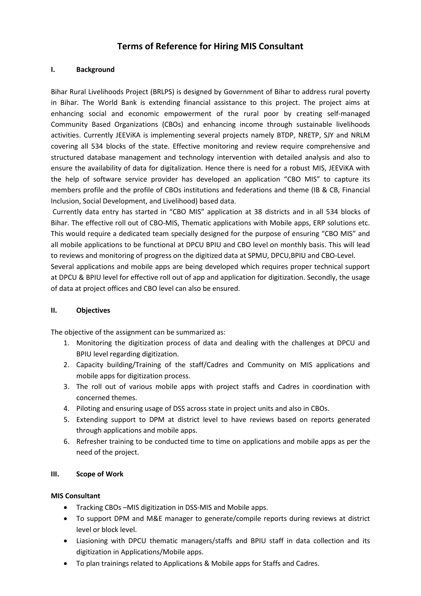# **Terms of Reference for Hiring MIS Consultant**

#### **I. Background**

Bihar Rural Livelihoods Project (BRLPS) is designed by Government of Bihar to address rural poverty in Bihar. The World Bank is extending financial assistance to this project. The project aims at enhancing social and economic empowerment of the rural poor by creating self-managed Community Based Organizations (CBOs) and enhancing income through sustainable livelihoods activities. Currently JEEViKA is implementing several projects namely BTDP, NRETP, SJY and NRLM covering all 534 blocks of the state. Effective monitoring and review require comprehensive and structured database management and technology intervention with detailed analysis and also to ensure the availability of data for digitalization. Hence there is need for a robust MIS, JEEViKA with the help of software service provider has developed an application "CBO MIS" to capture its members profile and the profile of CBOs institutions and federations and theme (IB & CB, Financial Inclusion, Social Development, and Livelihood) based data.

Currently data entry has started in "CBO MIS" application at 38 districts and in all 534 blocks of Bihar. The effective roll out of CBO-MIS, Thematic applications with Mobile apps, ERP solutions etc. This would require a dedicated team specially designed for the purpose of ensuring "CBO MIS" and all mobile applications to be functional at DPCU BPIU and CBO level on monthly basis. This will lead to reviews and monitoring of progress on the digitized data at SPMU, DPCU,BPIU and CBO-Level.

Several applications and mobile apps are being developed which requires proper technical support at DPCU & BPIU level for effective roll out of app and application for digitization. Secondly, the usage of data at project offices and CBO level can also be ensured.

#### **II. Objectives**

The objective of the assignment can be summarized as:

- 1. Monitoring the digitization process of data and dealing with the challenges at DPCU and BPIU level regarding digitization.
- 2. Capacity building/Training of the staff/Cadres and Community on MIS applications and mobile apps for digitization process.
- 3. The roll out of various mobile apps with project staffs and Cadres in coordination with concerned themes.
- 4. Piloting and ensuring usage of DSS across state in project units and also in CBOs.
- 5. Extending support to DPM at district level to have reviews based on reports generated through applications and mobile apps.
- 6. Refresher training to be conducted time to time on applications and mobile apps as per the need of the project.

#### **III. Scope of Work**

#### **MIS Consultant**

- Tracking CBOs –MIS digitization in DSS-MIS and Mobile apps.
- To support DPM and M&E manager to generate/compile reports during reviews at district level or block level.
- Liasioning with DPCU thematic managers/staffs and BPIU staff in data collection and its digitization in Applications/Mobile apps.
- To plan trainings related to Applications & Mobile apps for Staffs and Cadres.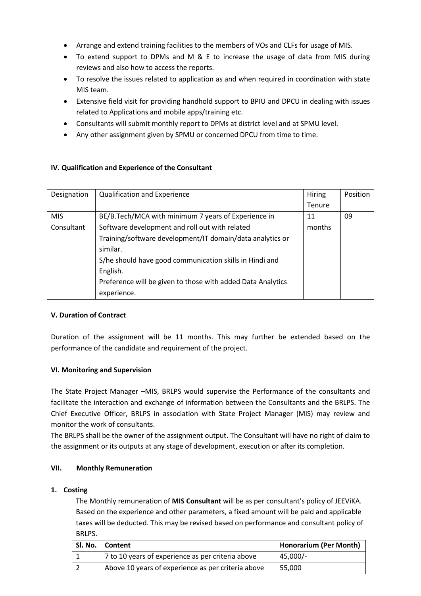- Arrange and extend training facilities to the members of VOs and CLFs for usage of MIS.
- To extend support to DPMs and M & E to increase the usage of data from MIS during reviews and also how to access the reports.
- To resolve the issues related to application as and when required in coordination with state MIS team.
- Extensive field visit for providing handhold support to BPIU and DPCU in dealing with issues related to Applications and mobile apps/training etc.
- Consultants will submit monthly report to DPMs at district level and at SPMU level.
- Any other assignment given by SPMU or concerned DPCU from time to time.

## **IV. Qualification and Experience of the Consultant**

| Designation | <b>Qualification and Experience</b>                         | Hiring | Position |
|-------------|-------------------------------------------------------------|--------|----------|
|             |                                                             | Tenure |          |
| <b>MIS</b>  | BE/B.Tech/MCA with minimum 7 years of Experience in         | 11     | 09       |
| Consultant  | Software development and roll out with related              | months |          |
|             | Training/software development/IT domain/data analytics or   |        |          |
|             | similar.                                                    |        |          |
|             | S/he should have good communication skills in Hindi and     |        |          |
|             | English.                                                    |        |          |
|             | Preference will be given to those with added Data Analytics |        |          |
|             | experience.                                                 |        |          |

#### **V. Duration of Contract**

Duration of the assignment will be 11 months. This may further be extended based on the performance of the candidate and requirement of the project.

#### **VI. Monitoring and Supervision**

The State Project Manager –MIS, BRLPS would supervise the Performance of the consultants and facilitate the interaction and exchange of information between the Consultants and the BRLPS. The Chief Executive Officer, BRLPS in association with State Project Manager (MIS) may review and monitor the work of consultants.

The BRLPS shall be the owner of the assignment output. The Consultant will have no right of claim to the assignment or its outputs at any stage of development, execution or after its completion.

#### **VII. Monthly Remuneration**

#### **1. Costing**

The Monthly remuneration of **MIS Consultant** will be as per consultant's policy of JEEViKA. Based on the experience and other parameters, a fixed amount will be paid and applicable taxes will be deducted. This may be revised based on performance and consultant policy of BRLPS.

| Sl. No.   Content                                  | <b>Honorarium (Per Month)</b> |
|----------------------------------------------------|-------------------------------|
| 7 to 10 years of experience as per criteria above  | 45.000/-                      |
| Above 10 years of experience as per criteria above | 55.000                        |